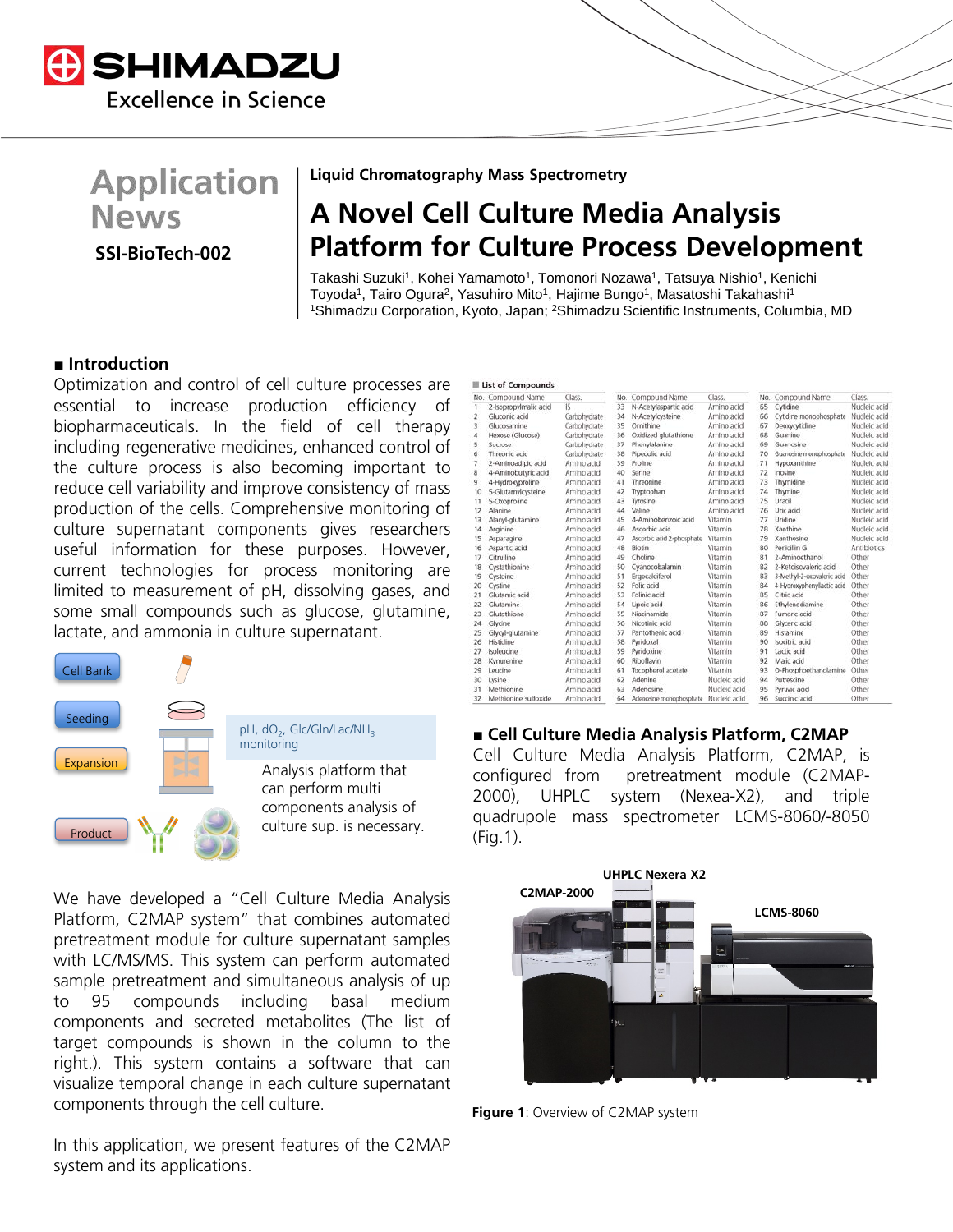

# **Application News**

**SSI-BioTech-002**

**Liquid Chromatography Mass Spectrometry**

## **A Novel Cell Culture Media Analysis Platform for Culture Process Development**

Takashi Suzuki<sup>1</sup>, Kohei Yamamoto<sup>1</sup>, Tomonori Nozawa<sup>1</sup>, Tatsuya Nishio<sup>1</sup>, Kenichi Toyoda<sup>1</sup>, Tairo Ogura<sup>2</sup>, Yasuhiro Mito<sup>1</sup>, Hajime Bungo<sup>1</sup>, Masatoshi Takahashi<sup>1</sup> 1Shimadzu Corporation, Kyoto, Japan; 2Shimadzu Scientific Instruments, Columbia, MD

## **■ Introduction**

Optimization and control of cell culture processes are essential to increase production efficiency of biopharmaceuticals. In the field of cell therapy including regenerative medicines, enhanced control of the culture process is also becoming important to reduce cell variability and improve consistency of mass production of the cells. Comprehensive monitoring of culture supernatant components gives researchers useful information for these purposes. However, current technologies for process monitoring are limited to measurement of pH, dissolving gases, and some small compounds such as glucose, glutamine, lactate, and ammonia in culture supernatant.



We have developed a "Cell Culture Media Analysis Platform, C2MAP system" that combines automated pretreatment module for culture supernatant samples with LC/MS/MS. This system can perform automated sample pretreatment and simultaneous analysis of up to 95 compounds including basal medium components and secreted metabolites (The list of target compounds is shown in the column to the right.). This system contains a software that can visualize temporal change in each culture supernatant components through the cell culture.

In this application, we present features of the C2MAP system and its applications.

| <b>List of Compounds</b> |                       |              |     |                           |              |    |                            |              |
|--------------------------|-----------------------|--------------|-----|---------------------------|--------------|----|----------------------------|--------------|
|                          | No. Compound Name     | Class.       | No. | Compound Name             | Class.       |    | No. Compound Name          | Class.       |
| ١                        | 2-Isopropylmalic acid | 15           | 33  | N-Acetylaspartic acid     | Amino acid   | 65 | Cytidine                   | Nucleic acid |
| 2                        | Gluconic acid         | Carbohydrate | 34  | N-Acetylcysteine          | Amino acid   | 66 | Cytidine monophosphate     | Nucleic acid |
| 3                        | Glucosamine           | Carbohydrate | 35  | Ornithine                 | Amino acid   | 67 | Deoxycytidine              | Nucleic acid |
| 4                        | Hexose (Glucose)      | Carbohydrate | 36  | Oxidized glutathione      | Amino acid   | 68 | Guanine                    | Nucleic acid |
| 5                        | Sucrose               | Carbohydrate | 37  | Phenylalanine             | Amino acid   | 69 | Guanosine                  | Nucleic acid |
| 6                        | Threonic acid         | Carbohydrate | 38  | Pipecolic acid            | Amino acid   | 70 | Guanosine monophosphate    | Nucleic acid |
| 7                        | 2-Aminoadipic acid    | Amino acid   | 39  | Proline                   | Amino acid   | 71 | Hypoxanthine               | Nucleic acid |
| 8                        | 4-Aminobutyric acid   | Amino acid   | 40  | Serine                    | Amino acid   | 72 | Inosine                    | Nucleic acid |
| 9                        | 4-Hydroxyproline      | Amino acid   | 41  | Threonine                 | Amino acid   | 73 | Thymidine                  | Nucleic acid |
| 10                       | 5-Glutamylcysteine    | Amino acid   | 42  | Tryptophan                | Amino acid   | 74 | Thymine                    | Nucleic acid |
| 11                       | 5-Oxoproline          | Amino acid   | 43  | Tyrosine                  | Amino acid   | 75 | Uracil                     | Nucleic acid |
| 12                       | Alanine               | Amino acid   | 44  | Valine                    | Amino acid   | 76 | Uric acid                  | Nucleic acid |
| 13                       | Alanyl-glutamine      | Amino acid   | 45  | 4-Aminobenzoic acid       | Vitamin      | 77 | Uridine                    | Nucleic acid |
| 14                       | Arginine              | Amino acid   | 46  | Ascorbic acid             | Vitamin      | 78 | Xanthine                   | Nucleic acid |
| 15                       | Asparagine            | Amino acid   | 47  | Ascorbic acid 2-phosphate | Vitamin      | 79 | Xanthosine                 | Nucleic acid |
| 16                       | Aspartic acid         | Amino acid   | 48  | Biotin                    | Vitamin      | 80 | Penicillin G               | Antibiotics  |
| 17                       | Citrulline            | Amino acid   | 49  | Choline                   | Vitamin      | 81 | 2-Aminoethanol             | Other        |
| 18                       | Cystathionine         | Amino acid   | 50  | Cyanocobalamin            | Vitamin      | 82 | 2-Ketoisovaleric acid      | Other        |
| 19                       | Cysteine              | Amino acid   | 51  | Ergocalciferol            | Vitamin      | 83 | 3-Methyl-2-oxovaleric acid | Other        |
| 20                       | Cystine               | Amino acid   | 52  | Folic acid                | Vitamin      | 84 | 4-Hydroxyphenyllactic acid | Other        |
| 21                       | Glutamic acid         | Amino acid   | 53  | Folinic acid              | Vitamin      | 85 | Citric acid                | Other        |
| 22                       | Glutamine             | Amino acid   | 54  | Lipoic acid               | Vitamin      | 86 | Ethylenediamine            | Other        |
| 23                       | Glutathione           | Amino acid   | 55  | Niacinamide               | Vitamin      | 87 | Fumaric acid               | Other        |
| 24                       | Glycine               | Amino acid   | 56  | Nicotinic acid            | Vitamin      | 88 | Glyceric acid              | Other        |
| 25                       | Glycyl-glutamine      | Amino acid   | 57  | Pantothenic acid          | Vitamin      | 89 | Histamine                  | Other        |
| 26                       | Histidine             | Amino acid   | 58  | Pyridoxal                 | Vitamin      | 90 | Isocitric acid             | Other        |
| 27                       | Isoleucine            | Amino acid   | 59  | Pyridoxine                | Vitamin      | 91 | Lactic acid                | Other        |
| 28                       | Kynurenine            | Amino acid   | 60  | Riboflavin                | Vitamin      | 92 | Malic acid                 | Other        |
| 29                       | Leucine               | Amino acid   | 61  | Tocopherol acetate        | Vitamin      | 93 | O-Phosphoethanolamine      | Other        |
| 30                       | Lysine                | Amino acid   | 62  | Adenine                   | Nucleic acid | 94 | Putrescine                 | Other        |
| 31                       | Methionine            | Amino acid   | 63  | Adennsine                 | Nucleic acid | 95 | Pyruvic acid               | Other        |
| 32                       | Methionine sulfoxide  | Amino acid   | 64  | Adenosine monophosphate   | Nucleic acid | 96 | Succinic acid              | Other        |

#### **■ Cell Culture Media Analysis Platform, C2MAP**

Cell Culture Media Analysis Platform, C2MAP, is configured from pretreatment module (C2MAP-2000), UHPLC system (Nexea-X2), and triple quadrupole mass spectrometer LCMS-8060/-8050 (Fig.1).



**Figure 1**: Overview of C2MAP system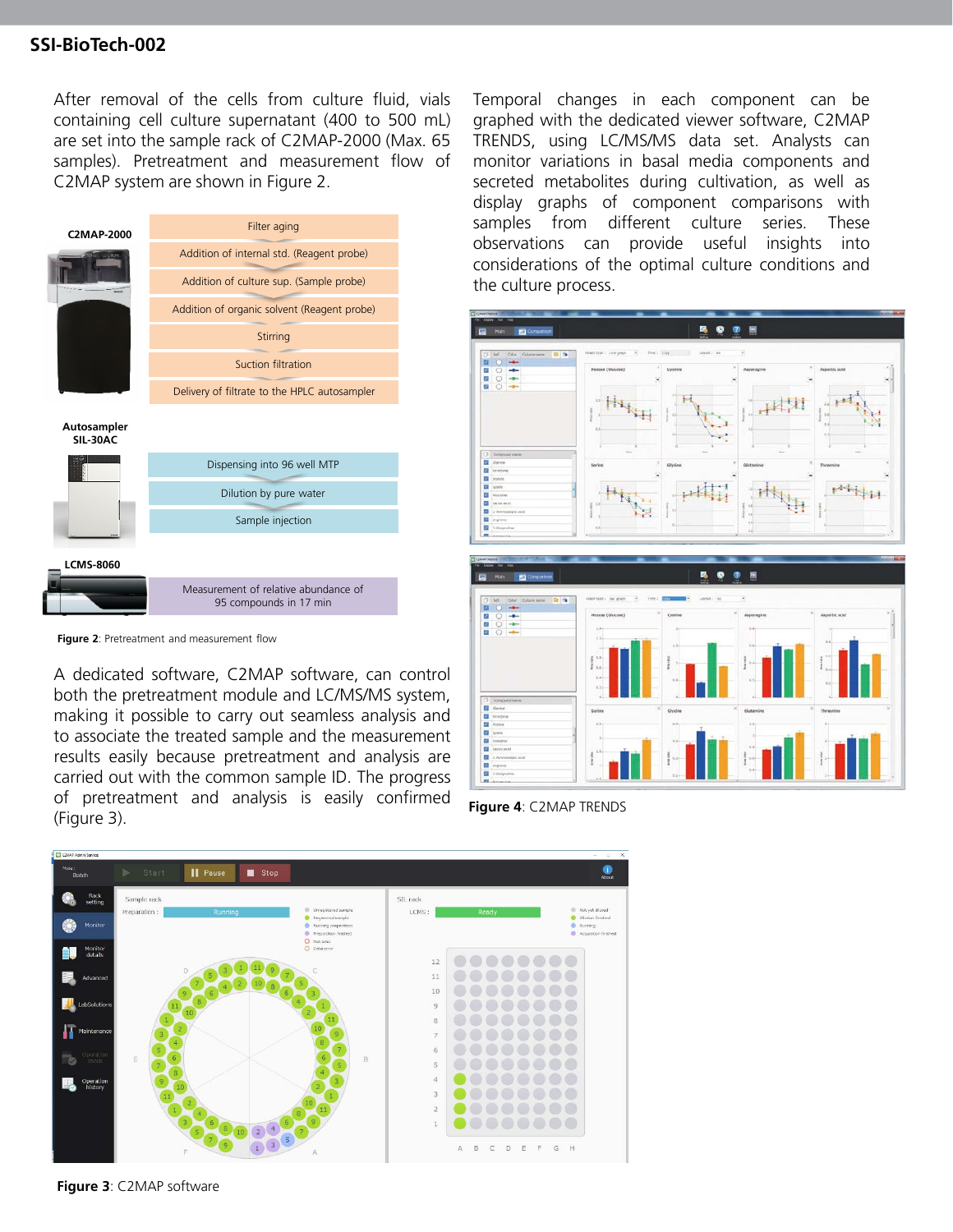## **SSI-BioTech-002**

After removal of the cells from culture fluid, vials containing cell culture supernatant (400 to 500 mL) are set into the sample rack of C2MAP-2000 (Max. 65 samples). Pretreatment and measurement flow of C2MAP system are shown in Figure 2.

| <b>C2MAP-2000</b>       | Filter aging                                                                           |  |  |  |  |
|-------------------------|----------------------------------------------------------------------------------------|--|--|--|--|
|                         | Addition of internal std. (Reagent probe)                                              |  |  |  |  |
|                         | Addition of culture sup. (Sample probe)<br>Addition of organic solvent (Reagent probe) |  |  |  |  |
|                         |                                                                                        |  |  |  |  |
|                         | Stirring                                                                               |  |  |  |  |
|                         | Suction filtration                                                                     |  |  |  |  |
|                         | Delivery of filtrate to the HPLC autosampler                                           |  |  |  |  |
| Autosampler<br>SIL-30AC |                                                                                        |  |  |  |  |
|                         | Dispensing into 96 well MTP                                                            |  |  |  |  |
|                         | Dilution by pure water                                                                 |  |  |  |  |
|                         | Sample injection                                                                       |  |  |  |  |
|                         |                                                                                        |  |  |  |  |
| <b>LCMS-8060</b>        |                                                                                        |  |  |  |  |
|                         | Measurement of relative abundance of<br>95 compounds in 17 min                         |  |  |  |  |
|                         |                                                                                        |  |  |  |  |

**Figure 2**: Pretreatment and measurement flow

A dedicated software, C2MAP software, can control both the pretreatment module and LC/MS/MS system, making it possible to carry out seamless analysis and to associate the treated sample and the measurement results easily because pretreatment and analysis are carried out with the common sample ID. The progress of pretreatment and analysis is easily confirmed (Figure 3).

Temporal changes in each component can be graphed with the dedicated viewer software, C2MAP TRENDS, using LC/MS/MS data set. Analysts can monitor variations in basal media components and secreted metabolites during cultivation, as well as display graphs of component comparisons with samples from different culture series. These observations can provide useful insights into considerations of the optimal culture conditions and the culture process.



**Figure 4**: C2MAP TRENDS



**Figure 3**: C2MAP software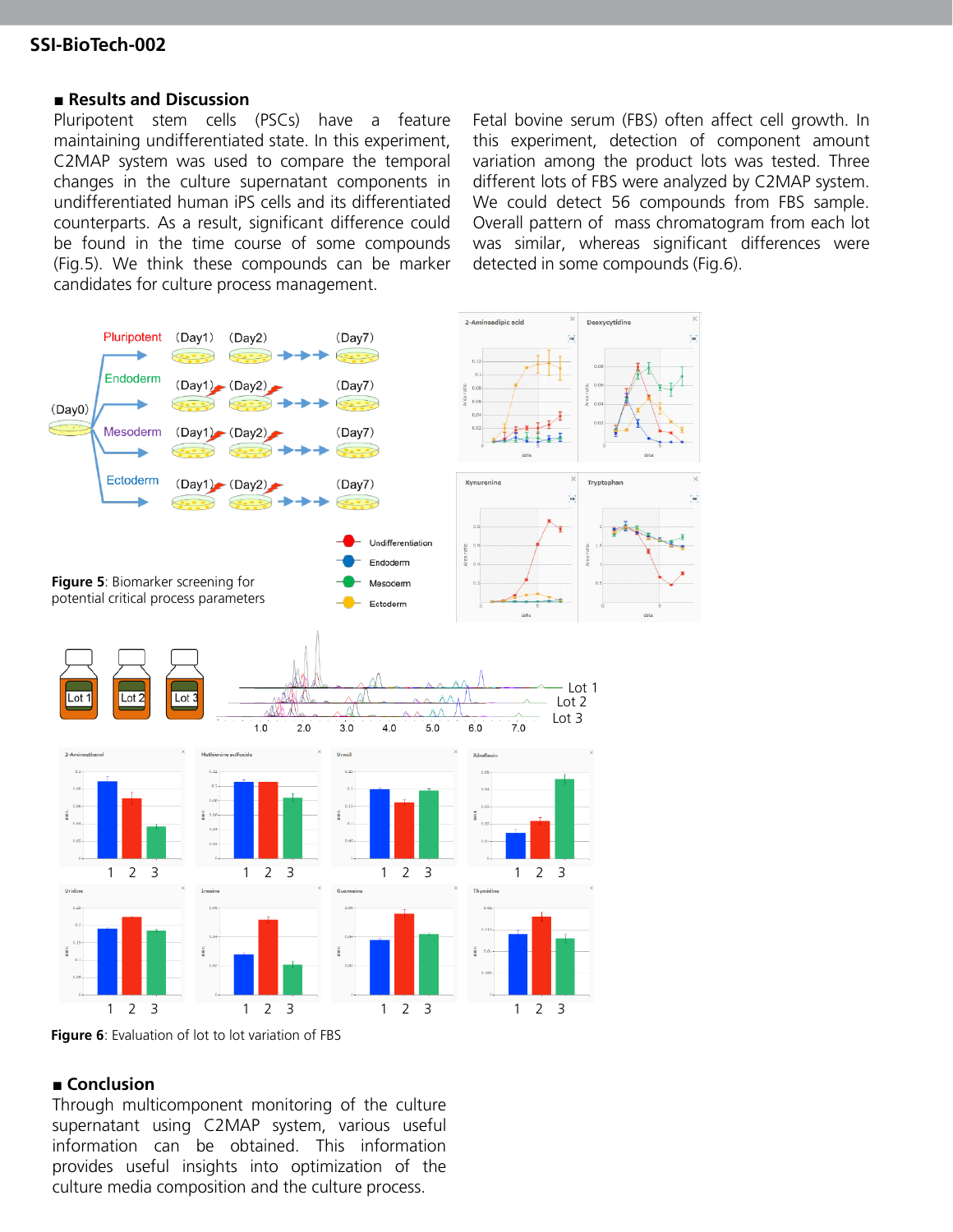## **SSI-BioTech-002**

#### **■ Results and Discussion**

Pluripotent stem cells (PSCs) have a feature maintaining undifferentiated state. In this experiment, C2MAP system was used to compare the temporal changes in the culture supernatant components in undifferentiated human iPS cells and its differentiated counterparts. As a result, significant difference could be found in the time course of some compounds (Fig.5). We think these compounds can be marker candidates for culture process management.

Fetal bovine serum (FBS) often affect cell growth. In this experiment, detection of component amount variation among the product lots was tested. Three different lots of FBS were analyzed by C2MAP system. We could detect 56 compounds from FBS sample. Overall pattern of mass chromatogram from each lot was similar, whereas significant differences were detected in some compounds (Fig.6).



**Figure 6**: Evaluation of lot to lot variation of FBS

#### **■ Conclusion**

Through multicomponent monitoring of the culture supernatant using C2MAP system, various useful information can be obtained. This information provides useful insights into optimization of the culture media composition and the culture process.